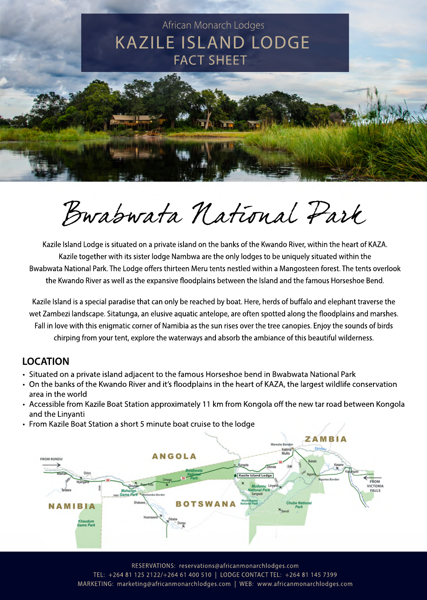

# Bwabwata National Park

Kazile Island Lodge is situated on a private island on the banks of the Kwando River, within the heart of KAZA. Kazile together with its sister lodge Nambwa are the only lodges to be uniquely situated within the Bwabwata National Park. The Lodge offers thirteen Meru tents nestled within a Mangosteen forest. The tents overlook the Kwando River as well as the expansive floodplains between the Island and the famous Horseshoe Bend.

Kazile Island is a special paradise that can only be reached by boat. Here, herds of buffalo and elephant traverse the wet Zambezi landscape. Sitatunga, an elusive aquatic antelope, are often spotted along the floodplains and marshes. Fall in love with this enigmatic corner of Namibia as the sun rises over the tree canopies. Enjoy the sounds of birds chirping from your tent, explore the waterways and absorb the ambiance of this beautiful wilderness.

#### **LOCATION**

- Situated on a private island adjacent to the famous Horseshoe bend in Bwabwata National Park
- On the banks of the Kwando River and it's floodplains in the heart of KAZA, the largest wildlife conservation area in the world
- Accessible from Kazile Boat Station approximately 11 km from Kongola off the new tar road between Kongola and the Linvanti
- From Kazile Boat Station a short 5 minute boat cruise to the lodge



RESERVATIONS: reservations@africanmonarchlodges.com TEL:+264811252122/+26461400510|LODGECONTACTTEL:+264811457399 MARKETING: marketing@africanmonarchlodges.com | WEB: www.africanmonarchlodges.com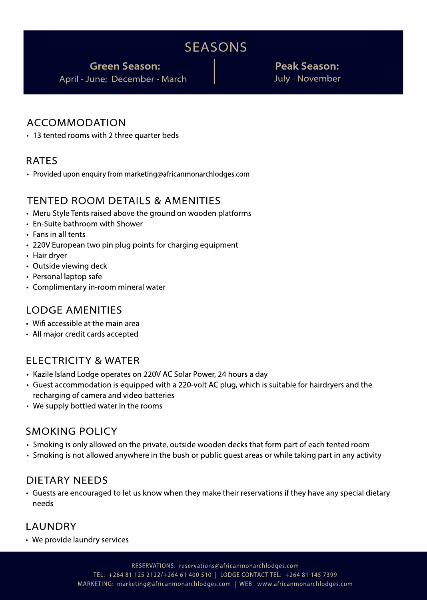# SEASONS

**GreenSeason: PeakSeason:**

April - June; December - March July - November

#### ACCOMMODATION

• 13 tented rooms with 2 three quarter beds

#### RATES

• Provided upon enquiry from marketing@africanmonarchlodges.com

#### TENTED ROOM DETAILS & AMENITIES

- Meru Style Tents raised above the ground on wooden platforms
- En-Suite bathroom with Shower
- Fans in all tents
- 220V European two pin plug points for charging equipment
- Hair dryer
- Outside viewing deck
- Personal laptop safe
- Complimentary in-room mineral water

#### LODGEAMENITIES

- Wifi accessible at the main area
- All major credit cards accepted

#### ELECTRICITY&WATER

- Kazile Island Lodge operates on 220V AC Solar Power, 24 hours a day
- Guest accommodation is equipped with a 220-volt AC plug, which is suitable for hairdryers and the recharging of camera and video batteries
- We supply bottled water in the rooms

#### SMOKING POLICY

- Smoking is only allowed on the private, outside wooden decks that form part of each tented room
- Smoking is not allowed anywhere in the bush or public guest areas or while taking part in any activity

#### DIFTARY NEEDS

• Guests are encouraged to let us know when they make their reservations if they have any special dietary needs

#### LAUNDRY

• We provide laundry services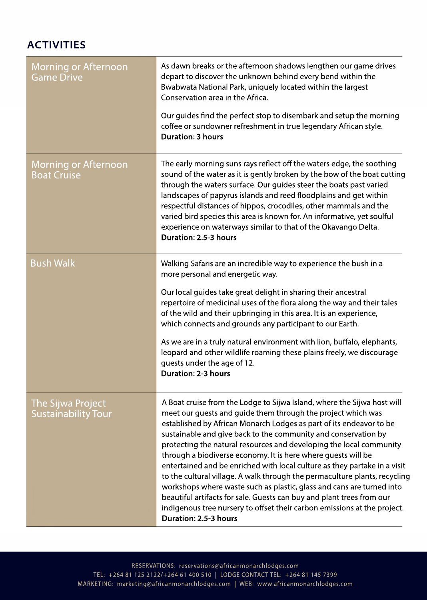# **ACTIVITIES**

| <b>Morning or Afternoon</b><br><b>Game Drive</b>  | As dawn breaks or the afternoon shadows lengthen our game drives<br>depart to discover the unknown behind every bend within the<br>Bwabwata National Park, uniquely located within the largest<br>Conservation area in the Africa.                                                                                                                                                                                                                                                                                                                                                                                                                                                                                                                                                                                                         |
|---------------------------------------------------|--------------------------------------------------------------------------------------------------------------------------------------------------------------------------------------------------------------------------------------------------------------------------------------------------------------------------------------------------------------------------------------------------------------------------------------------------------------------------------------------------------------------------------------------------------------------------------------------------------------------------------------------------------------------------------------------------------------------------------------------------------------------------------------------------------------------------------------------|
|                                                   | Our guides find the perfect stop to disembark and setup the morning<br>coffee or sundowner refreshment in true legendary African style.<br><b>Duration: 3 hours</b>                                                                                                                                                                                                                                                                                                                                                                                                                                                                                                                                                                                                                                                                        |
| <b>Morning or Afternoon</b><br><b>Boat Cruise</b> | The early morning suns rays reflect off the waters edge, the soothing<br>sound of the water as it is gently broken by the bow of the boat cutting<br>through the waters surface. Our guides steer the boats past varied<br>landscapes of papyrus islands and reed floodplains and get within<br>respectful distances of hippos, crocodiles, other mammals and the<br>varied bird species this area is known for. An informative, yet soulful<br>experience on waterways similar to that of the Okavango Delta.<br>Duration: 2.5-3 hours                                                                                                                                                                                                                                                                                                    |
| <b>Bush Walk</b>                                  | Walking Safaris are an incredible way to experience the bush in a<br>more personal and energetic way.<br>Our local guides take great delight in sharing their ancestral<br>repertoire of medicinal uses of the flora along the way and their tales<br>of the wild and their upbringing in this area. It is an experience,<br>which connects and grounds any participant to our Earth.                                                                                                                                                                                                                                                                                                                                                                                                                                                      |
|                                                   | As we are in a truly natural environment with lion, buffalo, elephants,<br>leopard and other wildlife roaming these plains freely, we discourage<br>guests under the age of 12.<br><b>Duration: 2-3 hours</b>                                                                                                                                                                                                                                                                                                                                                                                                                                                                                                                                                                                                                              |
| The Sijwa Project<br><b>Sustainability Tour</b>   | A Boat cruise from the Lodge to Sijwa Island, where the Sijwa host will<br>meet our guests and guide them through the project which was<br>established by African Monarch Lodges as part of its endeavor to be<br>sustainable and give back to the community and conservation by<br>protecting the natural resources and developing the local community<br>through a biodiverse economy. It is here where guests will be<br>entertained and be enriched with local culture as they partake in a visit<br>to the cultural village. A walk through the permaculture plants, recycling<br>workshops where waste such as plastic, glass and cans are turned into<br>beautiful artifacts for sale. Guests can buy and plant trees from our<br>indigenous tree nursery to offset their carbon emissions at the project.<br>Duration: 2.5-3 hours |